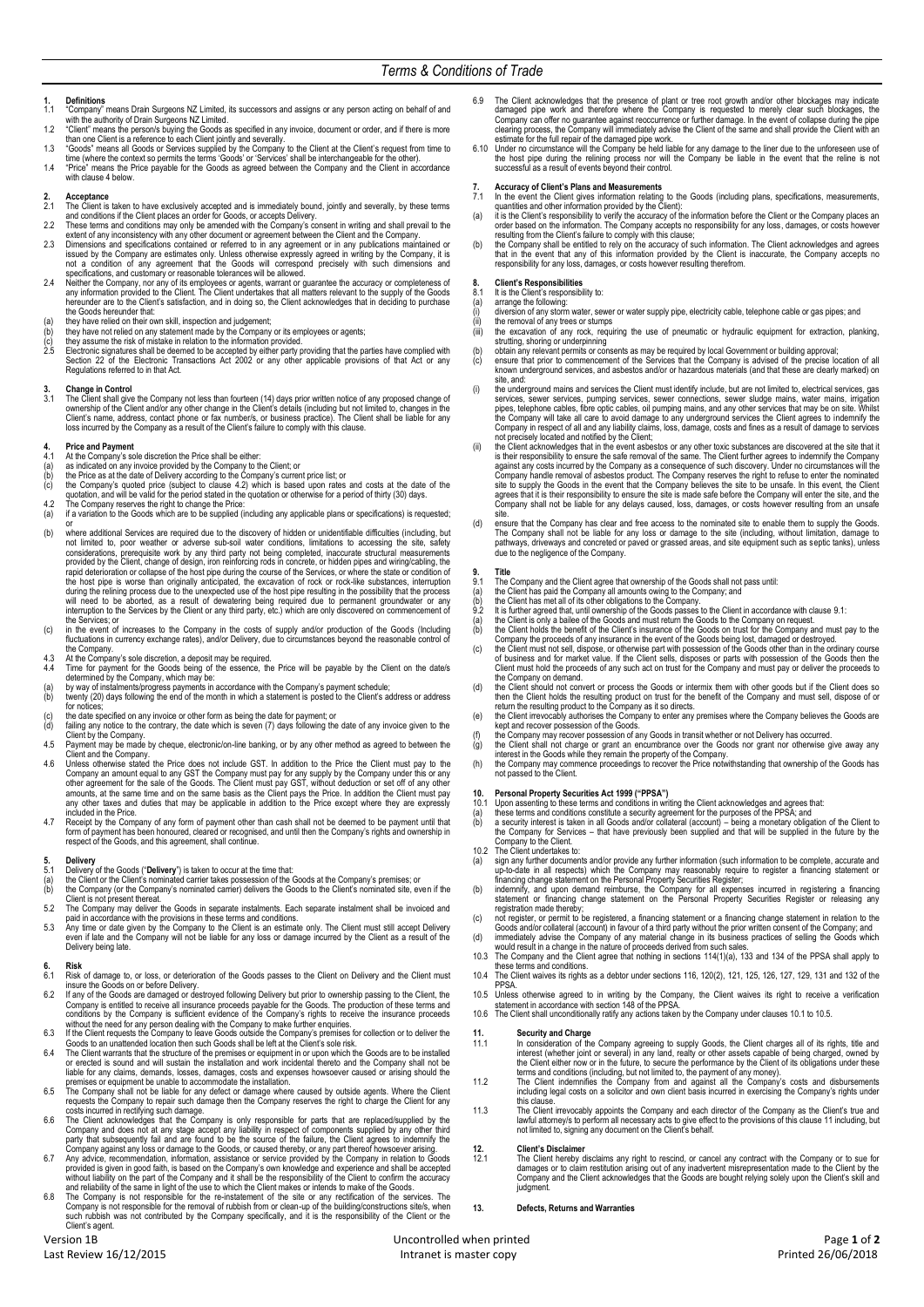# **1. Definitions**

- 1.1 "Company" means Drain Surgeons NZ Limited, its successors and assigns or any person acting on behalf of and
- with the authority of Drain Surgeons NZ Limited.<br>1.2 Client" means the person's buying the Goots as specified in any invoice, document or order, and if there is more<br>than one Client is a reference to each Client jointly an
- time (where the context so permits the terms 'Goods' or 'Services' shall be interchangeable for the other). 1.4 "Price" means the Price payable for the Goods as agreed between the Company and the Client in accordance
- with claus[e 4](#page-0-0) below.

### **2. Acceptance**

- 2.1 The Client is taken to have exclusively accepted and is immediately bound, jointly and severally, by these terms and conditions if the Client places an order for Goods, or accepts Delivery.
- 2.2 These terms and conditions may only be amended with the Company's consent in writing and shall prevail to the extent of a method of the recoment of apprenent between the company.<br>2.3 Dimensions and specifications conta
- 
- not a condition of any agreement that the Goods will correspond precisely with such dimensions and<br>specifications, and customary or reasonable tolerances will be allowed.<br>2.4 Neither the Company, nor any of its employees o
- 
- 
- the Goods hereunder that:<br>
(a) they have relied on their own skill, inspection and judgement;<br>
(b) they have relied on their own skill, inspection and judgement;<br>
(b) they assume the risk of mistake in relation to the info Regulations referred to in that Act.

**3. Change in Control** 3.1 The Client shall give the Company not less than fourteen (14) days prior written notice of any proposed change of ownership of the Client and/or any other change in the Client's details (including but not limited to, changes in the<br>Client's name, address, contact phone or fax number/s, or business practice). The Client shall be liable

- 
- 
- 
- <span id="page-0-0"></span>4. Price and Payment<br>
4. A the Company's sole discretion the Price shall be either:<br>
4. A the Company's current price list; or<br>
(a) as indicated on any invoice provided by the Company's current price list; or<br>
(b) the Pric
- <span id="page-0-1"></span>
- 
- (b) where additional Services are required due to the discovery of hidden or unidentifiable difficulties (including, but<br>not limited to, poor weather or adverse sub-soil water conditions, limitations to accessing the site, the host pipe is worse than originally anticipated, the excavation of rock or rock-like substances, interruption<br>during the relining process due to the unexpected use of the host pipe resulting in the possibility that the the Services; or
- (c) in the event of increases to the Company in the costs of supply and/or production of the Goods (Including fluctuations in currency exchange rates), and/or Delivery, due to circumstances beyond the reasonable control of nucluduo...c ...
- 4.3 At the Company's sole discretion, a deposit may be required.<br>4.4 Time for payment for the Goods being of the essence. the
- 4.4 Time for payment for the Goods being of the essence, the Price will be payable by the Client on the date/s<br>determined by the Company, which may be:<br>(a) by way of installments/progress payments in accordance with the Co
- 
- for notices;
- (c) the date specified on any invoice or other form as being the date for payment; or (d) failing any notice to the contrary, the date which is seven (7) days following the date of any invoice given to the
- Client by the Company.<br>4.5 Payment may be made by cheque, electronic/on-line banking, or by any other method as agreed to between the<br>Client and the Company.
- 4.6 Unless otherwise stated the Price does not include GST. In addition to the Price the Client must pay to the Company an amount equal to any GST the Company must pay for any supply by the Company and more this or any sup any other taxes and duties that may be applicable in addition to the Price except where they are expressly included in the Price.
- 4.7 Receipt by the Company of any form of payment other than cash shall not be deemed to be payment until that<br>form of payment has been honoured, cleared or recognised, and until then the Company's rights and ownership in<br>

### **5. Delivery**

- 5.1 Delivery of the Goods ("**Delivery**") is taken to occur at the time that:
- 
- (a) the Client or the Client's nominated carrier takes possession of the Goods at the Company's premises; or (b) the Company (or the Company's nominated carrier) delivers the Goods to the Client's nominated site, even if the
- 
- Client is not present thereat.<br>5.2 The Company may deliver the Goods in separate instalments. Each separate instalment shall be invoiced and<br>5.3 Any time or date given by the Company to the Client is an estimate only. The Delivery being late.

- **6. Risk** 6.1 Risk of damage to, or loss, or deterioration of the Goods passes to the Client on Delivery and the Client must
- insure the Goods on or before Delivery.<br>6.2 If any of the Goods are damaged or destroyed following Delivery but prior to ownership passing to the Client, the<br>Company is entitled to receive all insurance proceeds payable fo
- 
- 6.4 The Client warrants that the structure of the premises or equipment in or upon which the Goods are to be installed or erected is sound and will sustain the installation and work incidental thereto and the Company shall
- 6.5 The Company shall not be liable for any defect or damage where caused by outside agents. Where the Client<br>requests the Compary to repair such damage then the Company reserves the right to charge the Client for any<br>cost
- 
- 
- Company and does not at any stage accept any liability in respect of components supplied by any other third<br>party that subsequently fail and are found to be the source of the failure, the Client argrees to indemnity<br>freque
- 6.9 The Client acknowledges that the presence of plant or tree root growth and/or other blockages may indicate<br>damaged pipe work and therefore where the Company is requested to merely clear such blockages, the<br>Company can
- the host pipe during the relining process nor will the Company be liable in the event that the reline is not successful as a result of events beyond their control.

- Accuracy of Client's Plans and Measurements<br>7.1 In the event the Client gives information relating to the Goods (including plans, specifications, measurements,<br>1.1 quantities and other information provided by the Client):<br>
- 
- order based on the information. The Company accepts no responsibility for any loss, damages, or costs however<br>resulting from the Client's failure to comply with this clause;<br>(b) the Company shall be entitled to rely on the

# **8. Client's Responsibilities**

- 8.1 It is the Client's responsibility to<br>(a) arrange the following:<br>(i) diversion of any storm water, se
- 
- (a) arrange the following:<br>(i) diversion of any stom water, sewer or water supply pipe, electricity cable, telephone cable or gas pipes; and<br>(ii) the removal of any trees or stumps<br>(iii) the excavation of any rock, requiri
- 
- strutting, shoring or underpinning<br>
(b) obtain any relevant permits or consents as may be required by local Government or building approval;<br>
(c) ensure that prior to commencement of the Services that the Company is advise
- site, and: (i) the underground mains and services the Client must identify include, but are not limited to, electrical services, gas services, sever increase of the Comparty services, because the prese, telephone cables, fibre optic
- (ii) the Client acknowledges that in the event asbestos or any other toxic substances are discovered at the site that it is their responsibility to ensure the safe removal of the same. The Client further agrees to indemnit site.
- (d) ensure that the Company has clear and free access to the nominated site to enable them to supply the Goods.<br>The Company shall not be liable for any loss or damage to the site (including, without limitation, damage to<br>p

- **9. Title**
- 
- 
- <span id="page-0-2"></span>9.1 The Company and the Client agree that ownership of the Goods shall not pass until:<br>(a) the Client has paid the Company all amounts owing to the Company; and<br>(b) the Client has met all of its other obligations to the Co
- 
- (b) the Client holds the benefit of the Client's insurance of the Goods on trust for the Company and must porcedue of any insurance in the event of the Goods being lost, damaged or destroyed.<br>
Company the proceeds of any i
- the Company on demand. (d) the Client should not convert or process the Goods or intermix them with other goods but if the Client does so then the Client holds the resulting product on trust for the benefit of the Company and must sell, dispose of or<br>return the resulting product to the Company as it so directs.<br>(e) the Client irrevocably authorises the Compa
- 
- 
- (f) the Company may recover possession of any Goods in transit whether or not Delivery has occurred.<br>
(g) the Client shall not charge or grant an encumbrance over the Goods nor grant nor otherwise give away any<br>
interest i

- <span id="page-0-3"></span>
- 
- **10.** Personal Property Securities Act 1999 ("PPSA")<br>
10.1 Upon assenting to these terms and conditions in writing the Client acknowledges and agrees that:<br>
(a) these terms and conditions constitute a security agreement fo
- 
- (a) sign any further documents and/or provide any further information (such information to be complete, accurate and up-to-date in all respects) which the Company may reasonably require to register a financing statement or
- 
- (c) not register, or permit to be registered, a financing statement or a financing change statement in relation to the Goods and/or collateral (account) in favour of a third party without the prior written consent of the
- 
- 
- <span id="page-0-4"></span>PPSA. 10.5 Unless otherwise agreed to in writing by the Company, the Client waives its right to receive a verification<br>statement in accordance with section 148 of the PPSA.<br>10.6 The Client shall unconditionally ratify any action
- 

- <span id="page-0-5"></span>**11. Security and Charge** 11.1 In consideration of the Company agreeing to supply Goods, the Client charges all of its rights, title and interest (whether joint or several) in any land, realty or other assets capable of being charged, owned by<br>the Client either now or in the future, to secure the performance by the Client of its obligations under these<br>term
- 
- including legal costs on a solicitor and own client basis incurred in exercising the Company's rights under<br>this clause.<br>The Client irrevocably appoints the Company and each director of the Company as the Client's true and

# **12. Client's Disclaimer**<br>**12.1 The Client hereby**

12.1 The Client hereby disclaims any right to rescind, or cancel any contract with the Company or to sue for damages or to claim restitution arising out of any inadvertent misrepresentation made to the Client by the Company and the Client acknowledges that the Goods are bought relying solely upon the Client's skill and judgment

### **13. Defects, Returns and Warranties**